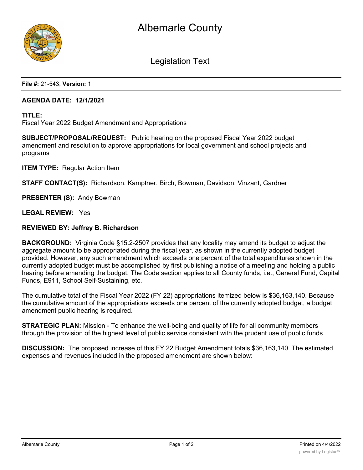



Legislation Text

**File #:** 21-543, **Version:** 1

# **AGENDA DATE: 12/1/2021**

**TITLE:**

Fiscal Year 2022 Budget Amendment and Appropriations

**SUBJECT/PROPOSAL/REQUEST:** Public hearing on the proposed Fiscal Year 2022 budget amendment and resolution to approve appropriations for local government and school projects and programs

**ITEM TYPE:** Regular Action Item

**STAFF CONTACT(S):** Richardson, Kamptner, Birch, Bowman, Davidson, Vinzant, Gardner

**PRESENTER (S):** Andy Bowman

**LEGAL REVIEW:** Yes

### **REVIEWED BY: Jeffrey B. Richardson**

**BACKGROUND:** Virginia Code §15.2-2507 provides that any locality may amend its budget to adjust the aggregate amount to be appropriated during the fiscal year, as shown in the currently adopted budget provided. However, any such amendment which exceeds one percent of the total expenditures shown in the currently adopted budget must be accomplished by first publishing a notice of a meeting and holding a public hearing before amending the budget. The Code section applies to all County funds, i.e., General Fund, Capital Funds, E911, School Self-Sustaining, etc.

The cumulative total of the Fiscal Year 2022 (FY 22) appropriations itemized below is \$36,163,140. Because the cumulative amount of the appropriations exceeds one percent of the currently adopted budget, a budget amendment public hearing is required.

**STRATEGIC PLAN:** Mission - To enhance the well-being and quality of life for all community members through the provision of the highest level of public service consistent with the prudent use of public funds

**DISCUSSION:** The proposed increase of this FY 22 Budget Amendment totals \$36,163,140. The estimated expenses and revenues included in the proposed amendment are shown below: